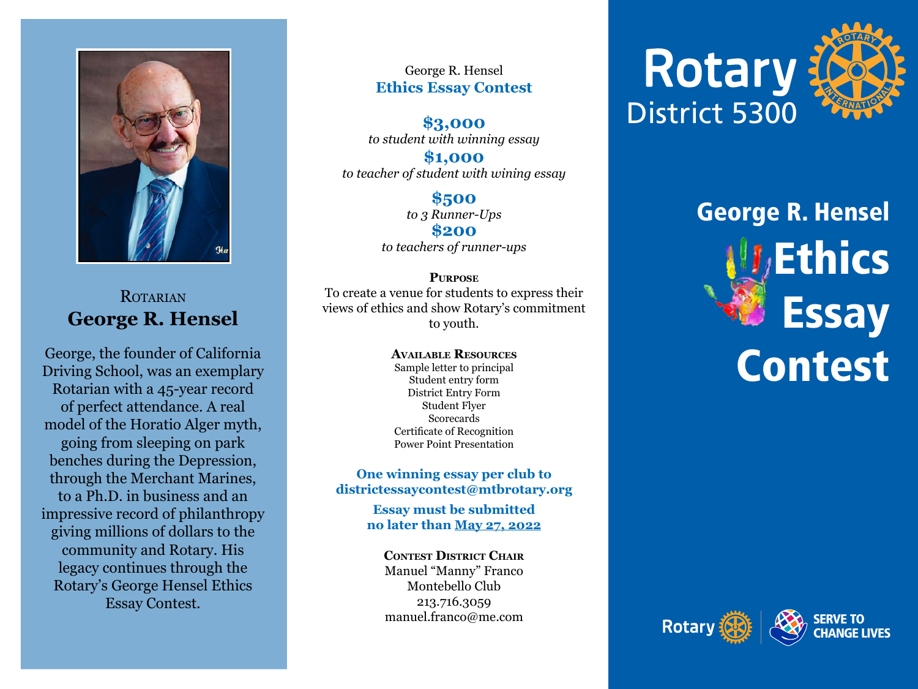

### ROTARIAN **George R. Hensel**

George, the founder of California Driving School, was an exemplary Rotarian with a 45-year record of perfect attendance. A real model of the Horatio Alger myth, going from sleeping on park benches during the Depression, through the Merchant Marines, to a Ph.D. in business and an impressive record of philanthropy giving millions of dollars to the community and Rotary. His legacy continues through the Rotary's George Hensel Ethics Essay Contest.

George R. Hensel **Ethics Essay Contest**

**\$3,000** *to student with winning essay*

**\$1,000** *to teacher of student with wining essay*

> **\$500** *to 3 Runner-Ups* **\$200** *to teachers of runner-ups*

**Purpose** To create a venue for students to express their views of ethics and show Rotary's commitment to youth.

> **Available Resources** Sample letter to principal Student entry form District Entry Form Student Flyer Scorecards Certificate of Recognition Power Point Presentation

**One winning essay per club to districtessaycontest@mtbrotary.org**

> **Essay must be submitted no later than May 27, 2022**

**Contest District Chair** Manuel "Manny" Franco Montebello Club 213.716.3059 manuel.franco@me.com



# George R. Hensel **Ethics Essay Contest**



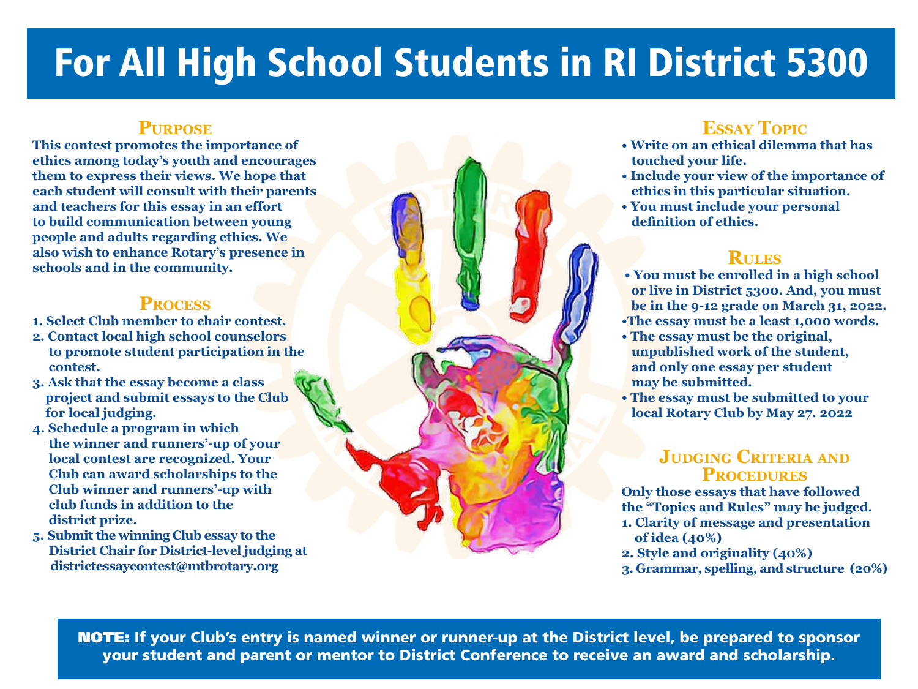# For All High School Students in RI District 5300

#### **Purpose**

**This contest promotes the importance of ethics among today's youth and encourages them to express their views. We hope that each student will consult with their parents and teachers for this essay in an effort to build communication between young people and adults regarding ethics. We also wish to enhance Rotary's presence in schools and in the community.**

#### **Process**

- **1. Select Club member to chair contest.**
- **2. Contact local high school counselors to promote student participation in the contest.**
- **3. Ask that the essay become a class project and submit essays to the Club for local judging.**
- **4. Schedule a program in which the winner and runners'-up of your local contest are recognized. Your Club can award scholarships to the Club winner and runners'-up with club funds in addition to the district prize.**
- **5. Submit the winning Club essay to the District Chair for District-level judging at districtessaycontest@mtbrotary.org**

### **Essay Topic**

- **Write on an ethical dilemma that has touched your life.**
- **Include your view of the importance of ethics in this particular situation.**
- **You must include your personal definition of ethics.**

### **Rules**

- **You must be enrolled in a high school or live in District 5300. And, you must be in the 9-12 grade on March 31, 2022. •The essay must be a least 1,000 words.**
- **The essay must be the original, unpublished work of the student, and only one essay per student may be submitted.**
- **The essay must be submitted to your local Rotary Club by May 27. 2022**

#### **Judging Criteria and Procedures**

**Only those essays that have followed the "Topics and Rules" may be judged. 1. Clarity of message and presentation of idea (40%)**

- **2. Style and originality (40%)**
- **3. Grammar, spelling, and structure (20%)**

NOTE: If your Club's entry is named winner or runner-up at the District level, be prepared to sponsor your student and parent or mentor to District Conference to receive an award and scholarship.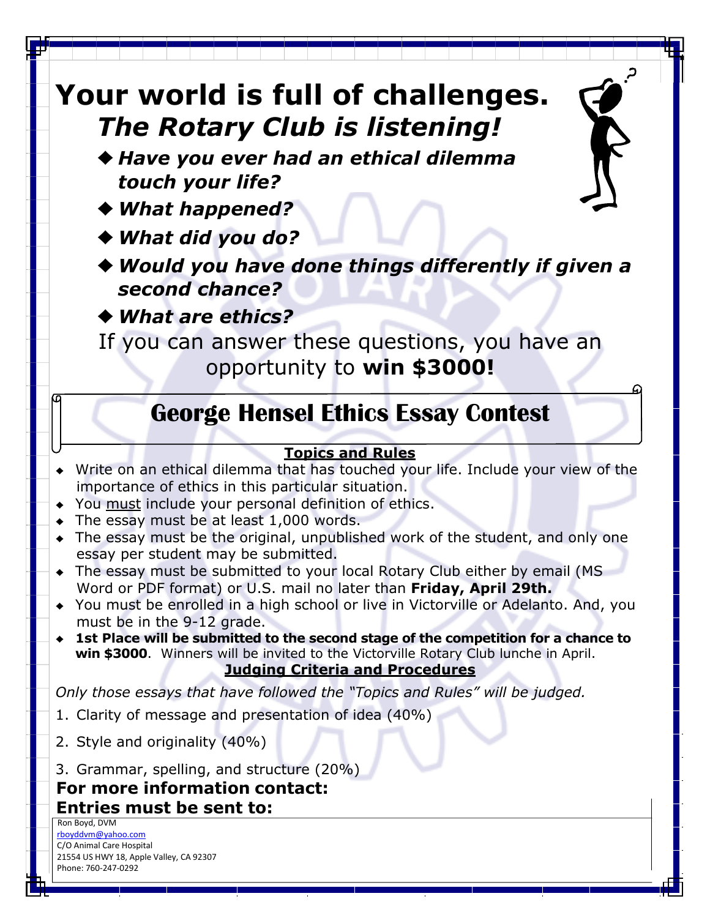# **Your world is full of challenges.** *The Rotary Club is listening!*

♦ *Have you ever had an ethical dilemma touch your life?*

♦*What happened?*

♦*What did you do?*

♦*Would you have done things differently if given a second chance?*

♦*What are ethics?*

If you can answer these questions, you have an opportunity to **win \$3000!**

# **George Hensel Ethics Essay Contest**

#### **Topics and Rules**

- ♦ Write on an ethical dilemma that has touched your life. Include your view of the importance of ethics in this particular situation.
- ♦ You must include your personal definition of ethics.
- $\bullet$  The essay must be at least 1,000 words.
- ♦ The essay must be the original, unpublished work of the student, and only one essay per student may be submitted.
- ♦ The essay must be submitted to your local Rotary Club either by email (MS Word or PDF format) or U.S. mail no later than **Friday, April 29th.**
- ♦ You must be enrolled in a high school or live in Victorville or Adelanto. And, you must be in the 9-12 grade.
- ♦ **1st Place will be submitted to the second stage of the competition for a chance to win \$3000**. Winners will be invited to the Victorville Rotary Club lunche in April. **Judging Criteria and Procedures**

*Only those essays that have followed the "Topics and Rules" will be judged.*

- 1. Clarity of message and presentation of idea (40%)
- 2. Style and originality (40%)
- 3. Grammar, spelling, and structure (20%)

## **For more information contact: Entries must be sent to:** Ron Boyd, DVM

 [rboyddvm@yahoo.com](mailto:rboyddvm@yahoo.com) C/O Animal Care Hospital 21554 US HWY 18, Apple Valley, CA 92307 Phone: 760-247-0292